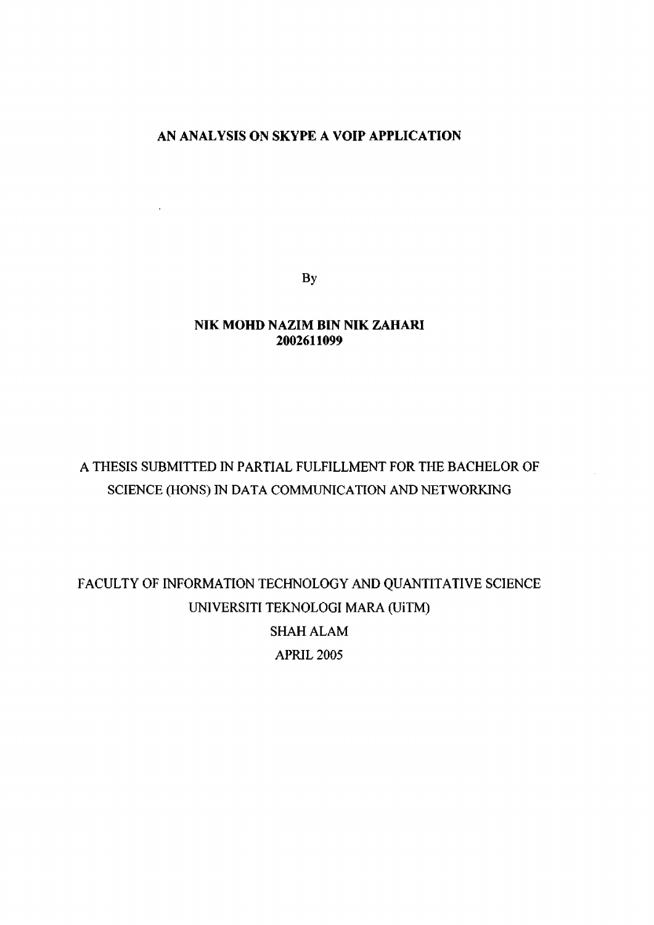### **AN ANALYSIS ON SKYPE A VOIP APPLICATION**

 $\ddot{\phantom{a}}$ 

**By** 

### **NIK MOHD NAZIM BIN NIK ZAHARI**  2002611099

# A THESIS SUBMITTED IN PARTIAL FULFILLMENT FOR THE BACHELOR OF SCIENCE (HONS) IN DATA COMMUNICATION AND NETWORKING

FACULTY OF INFORMATION TECHNOLOGY AND QUANTITATIVE SCIENCE UNIVERSITI TEKNOLOGI MARA (UiTM) SHAH ALAM APRIL 2005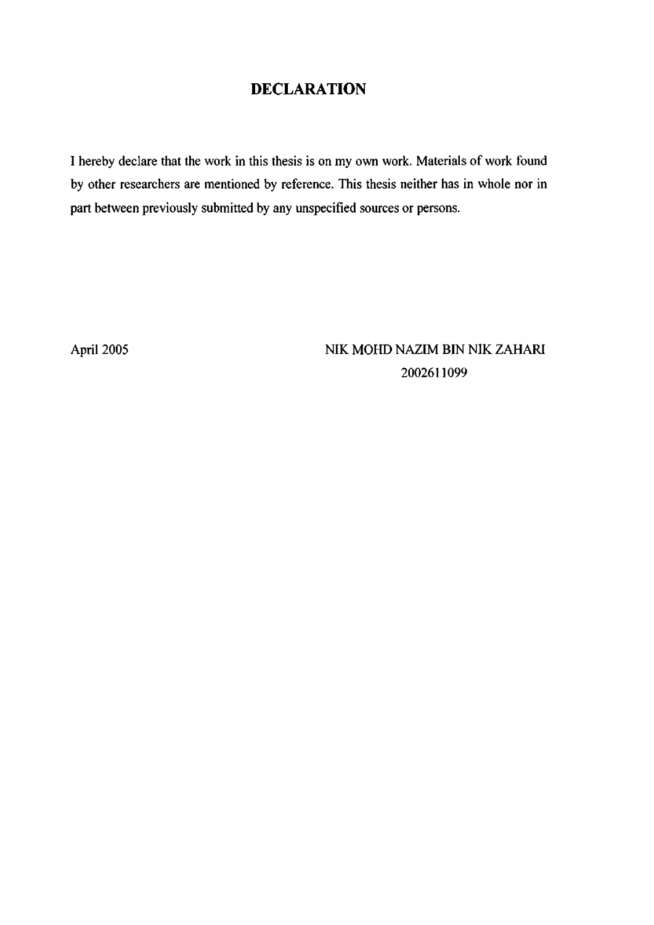## **DECLARATION**

I hereby declare that the work in this thesis is on my own work. Materials of work found by other researchers are mentioned by reference. This thesis neither has in whole nor in part between previously submitted by any unspecified sources or persons.

April 2005 NIK MOHD NAZIM BIN NIK ZAHARI 2002611099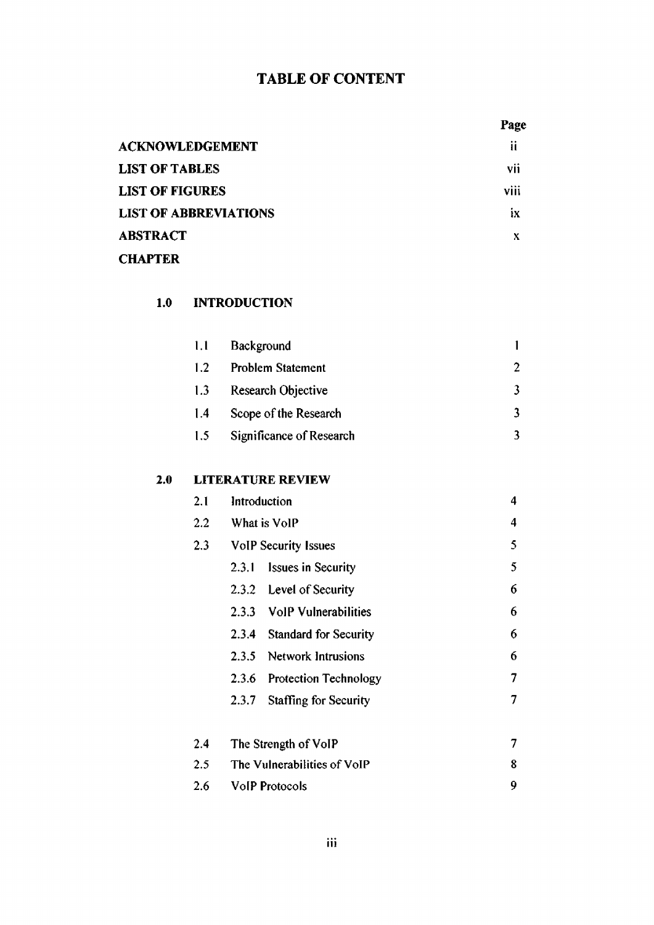## TABLE OF CONTENT

| m<br>л |
|--------|
|--------|

| <b>ACKNOWLEDGEMENT</b>       | ij                |
|------------------------------|-------------------|
| <b>LIST OF TABLES</b>        | vii               |
| <b>LIST OF FIGURES</b>       | $\cdots$<br>VIII. |
| <b>LIST OF ABBREVIATIONS</b> | łХ.               |
| <b>ABSTRACT</b>              |                   |
| <b>CHAPTER</b>               |                   |

## 1.0 **INTRODUCTION**

| 1.1 | Background               |  |
|-----|--------------------------|--|
| 1.2 | <b>Problem Statement</b> |  |
| 1.3 | Research Objective       |  |
| 1.4 | Scope of the Research    |  |
| 1.5 | Significance of Research |  |

#### **2.0 LITERATURE REVIEW**

| 2.1 | Introduction                |                              |   |
|-----|-----------------------------|------------------------------|---|
| 2.2 | What is VolP                |                              | 4 |
| 2.3 | <b>VoIP Security Issues</b> |                              | 5 |
|     |                             | 2.3.1 Issues in Security     | 5 |
|     |                             | 2.3.2 Level of Security      | 6 |
|     |                             | 2.3.3 VolP Vulnerabilities   | 6 |
|     | 2.3.4                       | <b>Standard for Security</b> | 6 |
|     |                             | 2.3.5 Network Intrusions     | 6 |
|     |                             | 2.3.6 Protection Technology  | 7 |
|     | 2.3.7                       | Staffing for Security        | 7 |
| 2.4 |                             | The Strength of VoIP         | 7 |
| 2.5 | The Vulnerabilities of VoIP |                              |   |
| 2.6 | <b>VoIP Protocols</b>       |                              | 9 |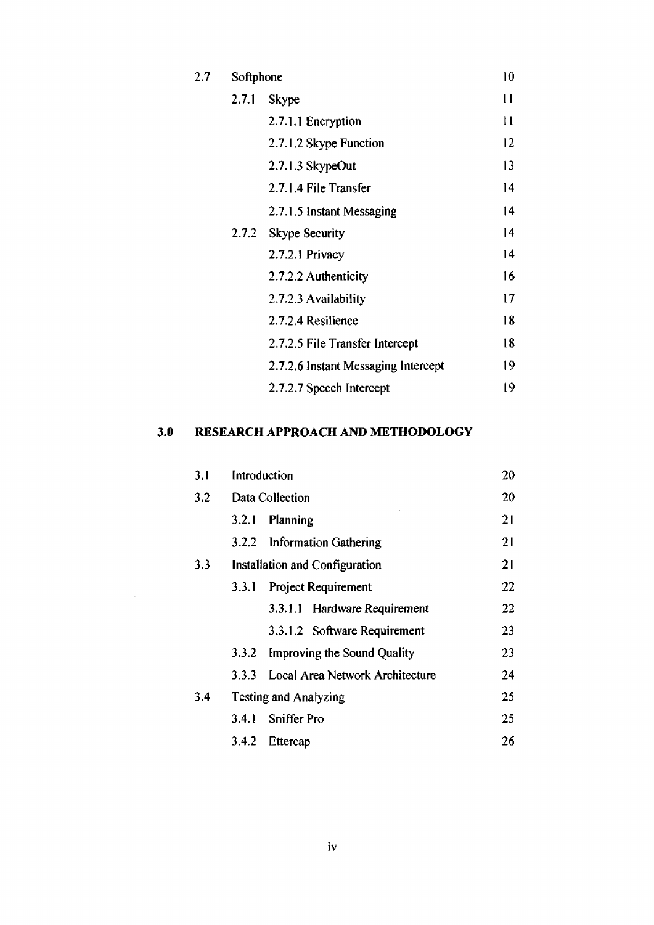| $^{2.7}$ | Softphone |                                     | 10 |
|----------|-----------|-------------------------------------|----|
|          | 2.7.1     | <b>Skype</b>                        | 11 |
|          |           | 2.7.1.1 Encryption                  | 11 |
|          |           | 2.7.1.2 Skype Function              | 12 |
|          |           | 2.7.1.3 SkypeOut                    | 13 |
|          |           | 2.7.1.4 File Transfer               | 14 |
|          |           | 2.7.1.5 Instant Messaging           | 14 |
|          |           | 2.7.2 Skype Security                | 14 |
|          |           | 2.7.2.1 Privacy                     | 14 |
|          |           | 2.7.2.2 Authenticity                | 16 |
|          |           | 2.7.2.3 Availability                | 17 |
|          |           | 2.7.2.4 Resilience                  | 18 |
|          |           | 2.7.2.5 File Transfer Intercept     | 18 |
|          |           | 2.7.2.6 Instant Messaging Intercept | 19 |
|          |           | 2.7.2.7 Speech Intercept            | 19 |
|          |           |                                     |    |

## **3.0 RESEARCH APPROACH AND METHODOLOGY**

 $\mathcal{L}^{\text{max}}_{\text{max}}$ 

| 3.1 | Introduction                   |                                 | 20 |
|-----|--------------------------------|---------------------------------|----|
| 3.2 | Data Collection                |                                 | 20 |
|     | 3.2.1                          | Planning                        | 21 |
|     |                                | 3.2.2 Information Gathering     | 21 |
| 3.3 | Installation and Configuration |                                 | 21 |
|     | 3.3.1                          | <b>Project Requirement</b>      | 22 |
|     |                                | 3.3.1.1 Hardware Requirement    | 22 |
|     |                                | 3.3.1.2 Software Requirement    | 23 |
|     | 3.3.2                          | Improving the Sound Quality     | 23 |
|     | 3.3.3                          | Local Area Network Architecture | 24 |
| 3,4 | <b>Testing and Analyzing</b>   |                                 | 25 |
|     | 3.4.1                          | <b>Sniffer Pro</b>              | 25 |
|     | 3.4.2                          | Ettercap                        | 26 |